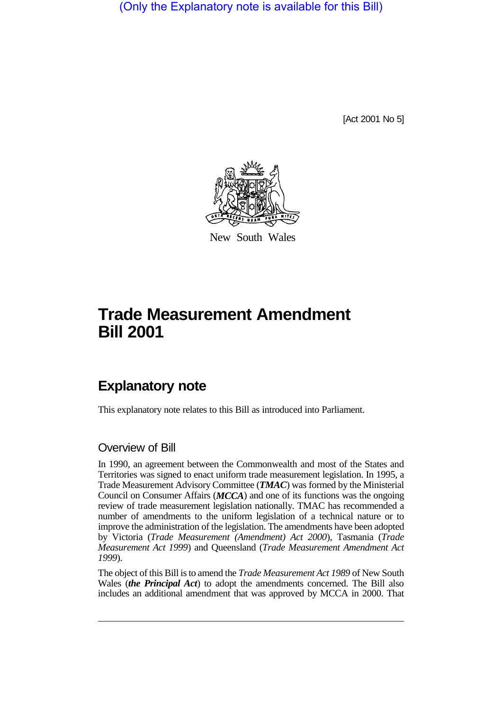(Only the Explanatory note is available for this Bill)

[Act 2001 No 5]



New South Wales

# **Trade Measurement Amendment Bill 2001**

## **Explanatory note**

This explanatory note relates to this Bill as introduced into Parliament.

### Overview of Bill

In 1990, an agreement between the Commonwealth and most of the States and Territories was signed to enact uniform trade measurement legislation. In 1995, a Trade Measurement Advisory Committee (*TMAC*) was formed by the Ministerial Council on Consumer Affairs (*MCCA*) and one of its functions was the ongoing review of trade measurement legislation nationally. TMAC has recommended a number of amendments to the uniform legislation of a technical nature or to improve the administration of the legislation. The amendments have been adopted by Victoria (*Trade Measurement (Amendment) Act 2000*), Tasmania (*Trade Measurement Act 1999*) and Queensland (*Trade Measurement Amendment Act 1999*).

The object of this Bill is to amend the *Trade Measurement Act 1989* of New South Wales (*the Principal Act*) to adopt the amendments concerned. The Bill also includes an additional amendment that was approved by MCCA in 2000. That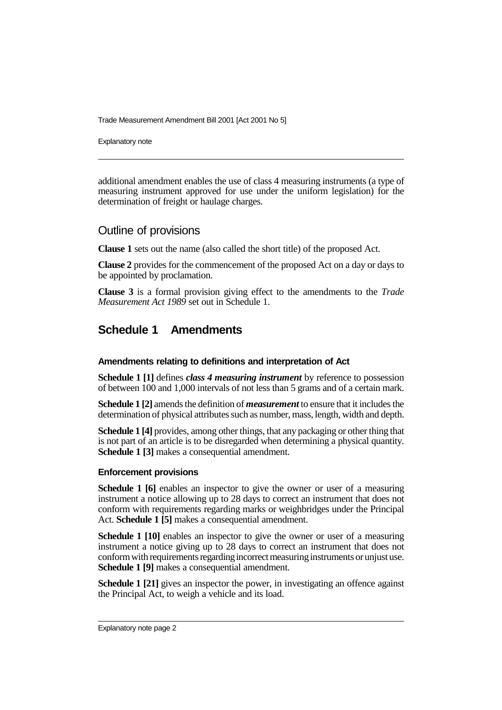Trade Measurement Amendment Bill 2001 [Act 2001 No 5]

Explanatory note

additional amendment enables the use of class 4 measuring instruments (a type of measuring instrument approved for use under the uniform legislation) for the determination of freight or haulage charges.

### Outline of provisions

**Clause 1** sets out the name (also called the short title) of the proposed Act.

**Clause 2** provides for the commencement of the proposed Act on a day or days to be appointed by proclamation.

**Clause 3** is a formal provision giving effect to the amendments to the *Trade Measurement Act 1989* set out in Schedule 1.

### **Schedule 1 Amendments**

### **Amendments relating to definitions and interpretation of Act**

**Schedule 1 [1]** defines *class 4 measuring instrument* by reference to possession of between 100 and 1,000 intervals of not less than 5 grams and of a certain mark.

**Schedule 1 [2]** amends the definition of *measurement* to ensure that it includes the determination of physical attributes such as number, mass, length, width and depth.

**Schedule 1 [4]** provides, among other things, that any packaging or other thing that is not part of an article is to be disregarded when determining a physical quantity. **Schedule 1 [3]** makes a consequential amendment.

### **Enforcement provisions**

**Schedule 1 [6]** enables an inspector to give the owner or user of a measuring instrument a notice allowing up to 28 days to correct an instrument that does not conform with requirements regarding marks or weighbridges under the Principal Act. **Schedule 1 [5]** makes a consequential amendment.

**Schedule 1 [10]** enables an inspector to give the owner or user of a measuring instrument a notice giving up to 28 days to correct an instrument that does not conform with requirements regarding incorrect measuring instruments or unjust use. **Schedule 1 [9]** makes a consequential amendment.

**Schedule 1 [21]** gives an inspector the power, in investigating an offence against the Principal Act, to weigh a vehicle and its load.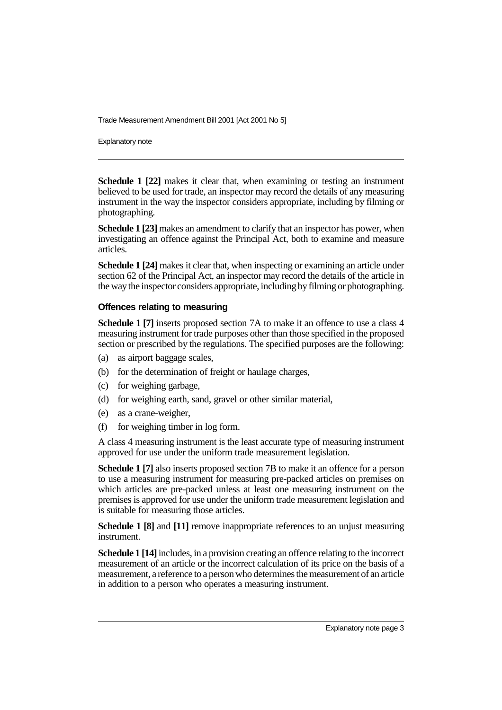Trade Measurement Amendment Bill 2001 [Act 2001 No 5]

Explanatory note

**Schedule 1 [22]** makes it clear that, when examining or testing an instrument believed to be used for trade, an inspector may record the details of any measuring instrument in the way the inspector considers appropriate, including by filming or photographing.

**Schedule 1 [23]** makes an amendment to clarify that an inspector has power, when investigating an offence against the Principal Act, both to examine and measure articles.

**Schedule 1 [24]** makes it clear that, when inspecting or examining an article under section 62 of the Principal Act, an inspector may record the details of the article in the way the inspector considers appropriate, including by filming or photographing.

### **Offences relating to measuring**

**Schedule 1 [7]** inserts proposed section 7A to make it an offence to use a class 4 measuring instrument for trade purposes other than those specified in the proposed section or prescribed by the regulations. The specified purposes are the following:

- (a) as airport baggage scales,
- (b) for the determination of freight or haulage charges,
- (c) for weighing garbage,
- (d) for weighing earth, sand, gravel or other similar material,
- (e) as a crane-weigher,
- (f) for weighing timber in log form.

A class 4 measuring instrument is the least accurate type of measuring instrument approved for use under the uniform trade measurement legislation.

**Schedule 1 [7]** also inserts proposed section 7B to make it an offence for a person to use a measuring instrument for measuring pre-packed articles on premises on which articles are pre-packed unless at least one measuring instrument on the premises is approved for use under the uniform trade measurement legislation and is suitable for measuring those articles.

**Schedule 1 [8]** and [11] remove inappropriate references to an unjust measuring instrument.

**Schedule 1 [14]** includes, in a provision creating an offence relating to the incorrect measurement of an article or the incorrect calculation of its price on the basis of a measurement, a reference to a person who determines the measurement of an article in addition to a person who operates a measuring instrument.